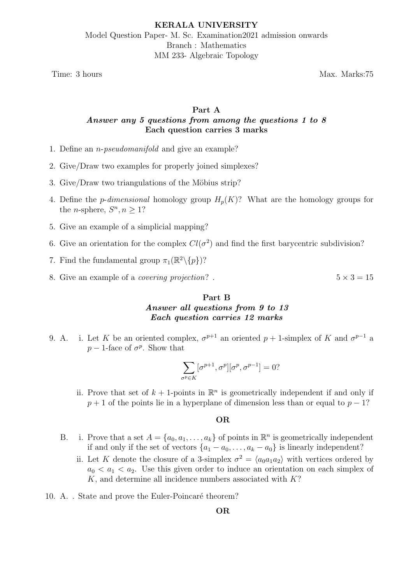Time: 3 hours Max. Marks:75

# Part A Answer any 5 questions from among the questions 1 to 8 Each question carries 3 marks

- 1. Define an n-pseudomanifold and give an example?
- 2. Give/Draw two examples for properly joined simplexes?
- 3. Give/Draw two triangulations of the Möbius strip?
- 4. Define the *p*-dimensional homology group  $H_p(K)$ ? What are the homology groups for the *n*-sphere,  $S^n, n \geq 1$ ?
- 5. Give an example of a simplicial mapping?
- 6. Give an orientation for the complex  $Cl(\sigma^2)$  and find the first barycentric subdivision?
- 7. Find the fundamental group  $\pi_1(\mathbb{R}^2 \setminus \{p\})$ ?
- 8. Give an example of a *covering projection*?  $5 \times 3 = 15$

# Part B Answer all questions from 9 to 13 Each question carries 12 marks

9. A. i. Let K be an oriented complex,  $\sigma^{p+1}$  an oriented  $p+1$ -simplex of K and  $\sigma^{p-1}$  a  $p-1$ -face of  $\sigma^p$ . Show that

$$
\sum_{\sigma^p \in K} [\sigma^{p+1}, \sigma^p][\sigma^p, \sigma^{p-1}] = 0?
$$

ii. Prove that set of  $k+1$ -points in  $\mathbb{R}^n$  is geometrically independent if and only if  $p + 1$  of the points lie in a hyperplane of dimension less than or equal to  $p - 1$ ?

#### OR

- B. i. Prove that a set  $A = \{a_0, a_1, \ldots, a_k\}$  of points in  $\mathbb{R}^n$  is geometrically independent if and only if the set of vectors  $\{a_1 - a_0, \ldots, a_k - a_0\}$  is linearly independent?
	- ii. Let K denote the closure of a 3-simplex  $\sigma^2 = \langle a_0 a_1 a_2 \rangle$  with vertices ordered by  $a_0 < a_1 < a_2$ . Use this given order to induce an orientation on each simplex of  $K$ , and determine all incidence numbers associated with  $K$ ?
- 10. A. . State and prove the Euler-Poincaré theorem?